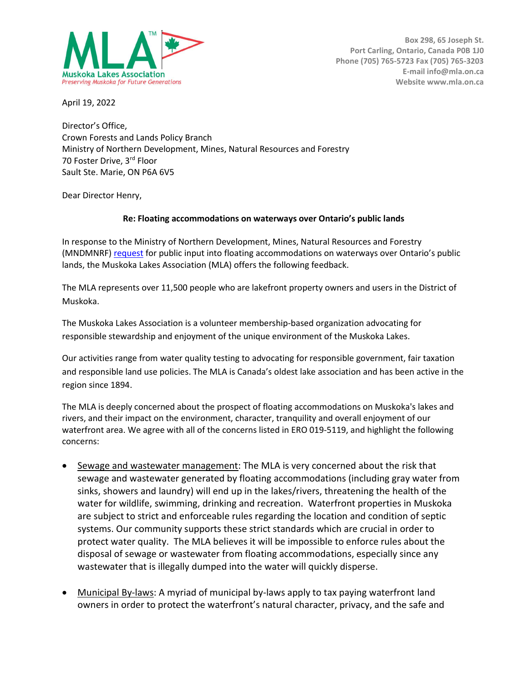

April 19, 2022

Director's Office, Crown Forests and Lands Policy Branch Ministry of Northern Development, Mines, Natural Resources and Forestry 70 Foster Drive, 3rd Floor Sault Ste. Marie, ON P6A 6V5

Dear Director Henry,

## Re: Floating accommodations on waterways over Ontario's public lands

In response to the Ministry of Northern Development, Mines, Natural Resources and Forestry (MNDMNRF) request for public input into floating accommodations on waterways over Ontario's public lands, the Muskoka Lakes Association (MLA) offers the following feedback.

The MLA represents over 11,500 people who are lakefront property owners and users in the District of Muskoka.

The Muskoka Lakes Association is a volunteer membership-based organization advocating for responsible stewardship and enjoyment of the unique environment of the Muskoka Lakes.

Our activities range from water quality testing to advocating for responsible government, fair taxation and responsible land use policies. The MLA is Canada's oldest lake association and has been active in the region since 1894.

The MLA is deeply concerned about the prospect of floating accommodations on Muskoka's lakes and rivers, and their impact on the environment, character, tranquility and overall enjoyment of our waterfront area. We agree with all of the concerns listed in ERO 019-5119, and highlight the following concerns:

- Sewage and wastewater management: The MLA is very concerned about the risk that sewage and wastewater generated by floating accommodations (including gray water from sinks, showers and laundry) will end up in the lakes/rivers, threatening the health of the water for wildlife, swimming, drinking and recreation. Waterfront properties in Muskoka are subject to strict and enforceable rules regarding the location and condition of septic systems. Our community supports these strict standards which are crucial in order to protect water quality. The MLA believes it will be impossible to enforce rules about the disposal of sewage or wastewater from floating accommodations, especially since any wastewater that is illegally dumped into the water will quickly disperse.
- Municipal By-laws: A myriad of municipal by-laws apply to tax paying waterfront land owners in order to protect the waterfront's natural character, privacy, and the safe and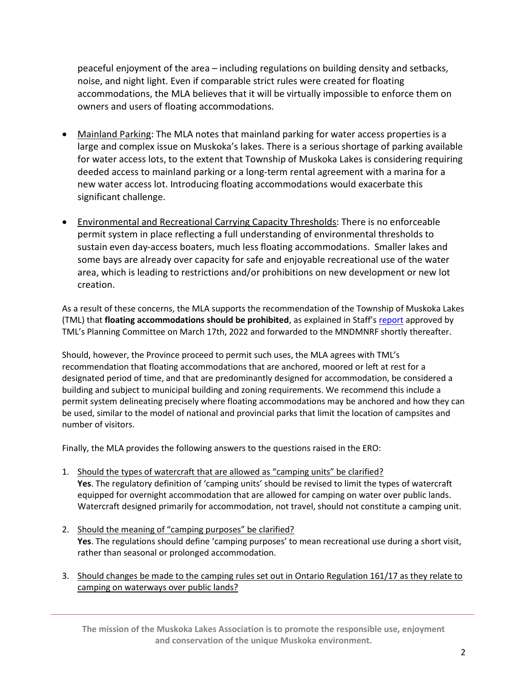peaceful enjoyment of the area – including regulations on building density and setbacks, noise, and night light. Even if comparable strict rules were created for floating accommodations, the MLA believes that it will be virtually impossible to enforce them on owners and users of floating accommodations.

- Mainland Parking: The MLA notes that mainland parking for water access properties is a large and complex issue on Muskoka's lakes. There is a serious shortage of parking available for water access lots, to the extent that Township of Muskoka Lakes is considering requiring deeded access to mainland parking or a long-term rental agreement with a marina for a new water access lot. Introducing floating accommodations would exacerbate this significant challenge.
- Environmental and Recreational Carrying Capacity Thresholds: There is no enforceable permit system in place reflecting a full understanding of environmental thresholds to sustain even day-access boaters, much less floating accommodations. Smaller lakes and some bays are already over capacity for safe and enjoyable recreational use of the water area, which is leading to restrictions and/or prohibitions on new development or new lot creation.

As a result of these concerns, the MLA supports the recommendation of the Township of Muskoka Lakes (TML) that floating accommodations should be prohibited, as explained in Staff's report approved by TML's Planning Committee on March 17th, 2022 and forwarded to the MNDMNRF shortly thereafter.

Should, however, the Province proceed to permit such uses, the MLA agrees with TML's recommendation that floating accommodations that are anchored, moored or left at rest for a designated period of time, and that are predominantly designed for accommodation, be considered a building and subject to municipal building and zoning requirements. We recommend this include a permit system delineating precisely where floating accommodations may be anchored and how they can be used, similar to the model of national and provincial parks that limit the location of campsites and number of visitors.

Finally, the MLA provides the following answers to the questions raised in the ERO:

- 1. Should the types of watercraft that are allowed as "camping units" be clarified? Yes. The regulatory definition of 'camping units' should be revised to limit the types of watercraft equipped for overnight accommodation that are allowed for camping on water over public lands. Watercraft designed primarily for accommodation, not travel, should not constitute a camping unit.
- 2. Should the meaning of "camping purposes" be clarified? Yes. The regulations should define 'camping purposes' to mean recreational use during a short visit, rather than seasonal or prolonged accommodation.
- 3. Should changes be made to the camping rules set out in Ontario Regulation 161/17 as they relate to camping on waterways over public lands?

The mission of the Muskoka Lakes Association is to promote the responsible use, enjoyment and conservation of the unique Muskoka environment.